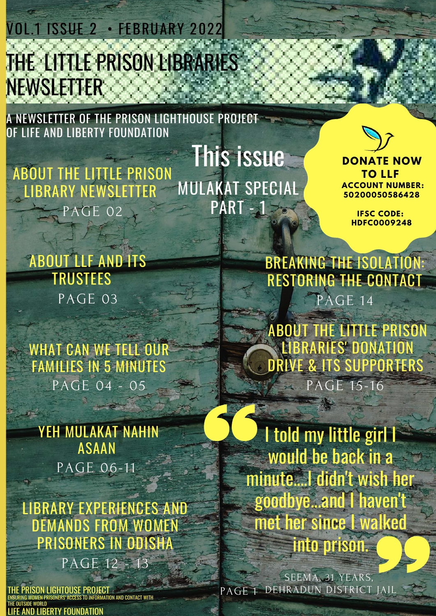THE LITTLE PRISON LIBRARIES NEWSLETTER VOL.1 ISSUE 2 • FEBRUARY 2022

A NEWSLETTER OF THE PRISON LIGHTHOUSE PROJECT OF LIFE AND LIBERTY FOUNDATION

ABOUT THE LITTLE PRISON LIBRARY NEWSLETTER PAGE 02 This issue **DONATE** NOW MULAKAT SPECIAL **PART - 1 - 8** 



**TO LLF ACCOUNT NUMBER: 50200050586428**

> **IFSC CODE: HDFC0009248**

ABOUT LLF AND ITS TRUSTEES PAGE 03

WHAT CAN WE TELL OUR FAMILIES IN 5 MINUTES PAGE 04 - 05

YEH MULAKAT NAHIN ASAAN PAGE 06-11

LIBRARY EXPERIENCES AND DEMANDS FROM WOMEN PRISONERS IN ODISHA

PAGE 12 - 13

**PRISON LIGHTOUSE PROJEC** ENSURING WOMEN PRISONERS' ACCESS TO INFORMATION AND CONTACT WITH THE OUTSIDE WORLD **IRFRTY FOUNDATION** 

BREAKING THE ISOLATION: RESTORING THE CONTACT PAGE 14

ABOUT THE LITTLE PRISON LIBRARIES' DONATION DRIVE & ITS SUPPORTERS PAGE 15-16

I told my little girl I would be back in a minute....I didn't wish her goodbye...and I haven't met her since I walked into prison.

PAGE<sub>1</sub> SEEMA, 31 YEARS, DEHRADUN DISTRICT JAIL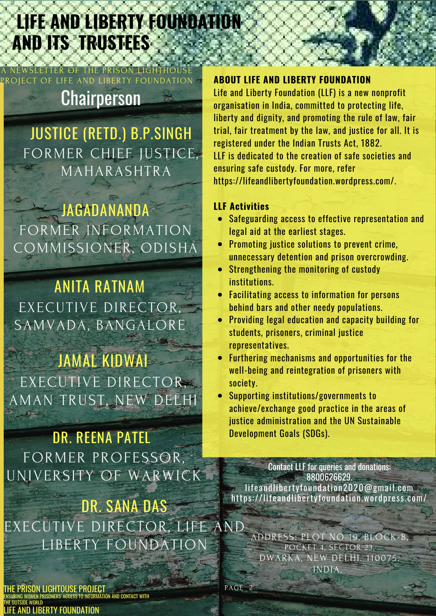## Announcements, Events, and Updates PAGE <sup>07</sup> **LIFE AND LIBERTY FOUNDATION AND ITS TRUSTEES**

## **Chairperson**

OF LIFE AND LIBERTY FOU

WSLETTER OF THE PRISON LIG

JUSTICE (RETD.) B.P.SINGH FORMER CHIEF JUSTICE, MAHARASHTRA

JAGADANANDA FORMER INFORMATION COMMISSIONER, ODISHA

ANITA RATNAM EXECUTIVE DIRECTOR, SAMVADA, BANGALORE

JAMAL KIDWAI EXECUTIVE DIRECTOR, AMAN TRUST, NEW DELHI

DR. REENA PATEL FORMER PROFESSOR, UNIVERSITY OF WARWICK

DR. SANA DAS EXECUTIVE DIRECTOR, LIFE AND LIBERTY FOUNDATION

ISON LIGHTOUSE PROJECT N AND CONTACT WITH THE OUTSIDE WORLD RERTY FOUNDATION

#### **ABOUT LIFE AND LIBERTY FOUNDATION**

Life and Liberty Foundation (LLF) is a new nonprofit organisation in India, committed to protecting life, liberty and dignity, and promoting the rule of law, fair trial, fair treatment by the law, and justice for all. It is registered under the Indian Trusts Act, 1882. LLF is dedicated to the creation of safe societies and ensuring safe custody. For more, refer https://lifeandlibertyfoundation.wordpress.com/.

#### **LLF Activities**

- Safeguarding access to effective representation and legal aid at the earliest stages.
- $\bullet$ Promoting justice solutions to prevent crime, unnecessary detention and prison overcrowding.
- Strengthening the monitoring of custody institutions.
- Facilitating access to information for persons  $\bullet$ behind bars and other needy populations.
- Providing legal education and capacity building for students, prisoners, criminal justice representatives.
- Furthering mechanisms and opportunities for the  $\bullet$ well-being and reintegration of prisoners with society.
- Supporting institutions/governments to achieve/exchange good practice in the areas of justice administration and the UN Sustainable Development Goals (SDGs).

Contact LLF for queries and donations: 8800626629. lifeandlibertyfoundation2020@gmail.com https://lifeandlibertyfoundation.wordpress.com/

ADDRESS: PLOT NO-19, BLOCK-B, POCKET 4, SECTOR 23, DWARKA, NEW DELHI. 110075. INDIA.

 $PAGE$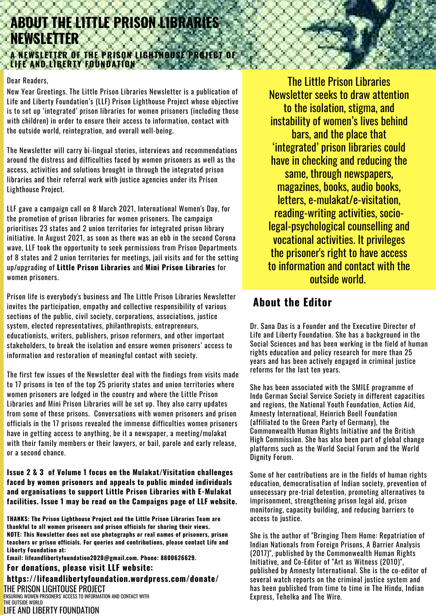### A Newsletter of the Prison Lighthouse Project **LIFE AND LIBERTY FOUNDATION ABOUT THE LITTLE PRISON LIBRARIES NEWSLETTER A NEWSLETTER OF THE PRISON LIGHTHOUSE PROJECT OF**

#### Dear Readers,

New Year Greetings. The Little Prison Libraries Newsletter is a publication of Life and Liberty Foundation's (LLF) Prison Lighthouse Project whose objective is to set up 'integrated' prison libraries for women prisoners (including those with children) in order to ensure their access to information, contact with the outside world, reintegration, and overall well-being.

The Newsletter will carry bi-lingual stories, interviews and recommendations around the distress and difficulties faced by women prisoners as well as the access, activities and solutions brought in through the integrated prison libraries and their referral work with justice agencies under its Prison Lighthouse Project.

LLF gave a campaign call on 8 March 2021, International Women's Day, for the promotion of prison libraries for women prisoners. The campaign prioritises 23 states and 2 union territories for integrated prison library initiative. In August 2021, as soon as there was an ebb in the second Corona wave, LLF took the opportunity to seek permissions from Prison Departments of 8 states and 2 union territories for meetings, jail visits and for the setting up/upgrading of **Little Prison Libraries** and **Mini Prison Libraries** for women prisoners.

Prison life is everybody's business and The Little Prison Libraries Newsletter invites the participation, empathy and collective responsibility of various sections of the public, civil society, corporations, associations, justice system, elected representatives, philanthropists, entrepreneurs, educationists, writers, publishers, prison reformers, and other important stakeholders, to break the isolation and ensure women prisoners' access to information and restoration of meaningful contact with society.

The first few issues of the Newsletter deal with the findings from visits made to 17 prisons in ten of the top 25 priority states and union territories where women prisoners are lodged in the country and where the Little Prison Libraries and Mini Prison Libraries will be set up. They also carry updates from some of these prisons. Conversations with women prisoners and prison officials in the 17 prisons revealed the immense difficulties women prisoners have in getting access to anything, be it a newspaper, a meeting/mulakat with their family members or their lawyers, or bail, parole and early release, or a second chance.

#### **Issue 2 & 3 of Volume 1 focus on the Mulakat/Visitation challenges faced by women prisoners and appeals to public minded individuals and organisations to support Little Prison Libraries with E-Mulakat facilities. Issue 1 may be read on the Campaigns page of LLF website.**

**THANKS: The Prison Lighthouse Project and the Little Prison Libraries Team are thankful to all women prisoners and prison officials for sharing their views. NOTE: This Newsletter does not use photographs or real names of prisoners, prison teachers or prison officials. For queries and contributions, please contact Life and Liberty Foundation at:**

**Email: [lifeandlibertyfoundation2020@gmail.com.](mailto:lifeandlibertyfoundation2020@gmail.com) Phone: 8800626629.**

**For donations, please visit LLF website: https://lifeandlibertyfoundation.wordpress.com/donate/** THE PRISON LIGHTOUSE PROJECT ENSURING WOMEN PRISONERS' ACCESS TO INFORMATION AND CONTACT WITH

The Little Prison Libraries Newsletter seeks to draw attention to the isolation, stigma, and instability of women's lives behind bars, and the place that 'integrated' prison libraries could have in checking and reducing the same, through newspapers, magazines, books, audio books, letters, e-mulakat/e-visitation, reading-writing activities, sociolegal-psychological counselling and vocational activities. It privileges the prisoner's right to have access to information and contact with the outside world.

### **About the Editor**

Dr. Sana Das is a Founder and the Executive Director of Life and Liberty Foundation. She has a background in the Social Sciences and has been working in the field of human rights education and policy research for more than 25 years and has been actively engaged in criminal justice reforms for the last ten years.

She has been associated with the SMILE programme of Indo German Social Service Society in different capacities and regions, the National Youth Foundation, Action Aid, Amnesty International, Heinrich Boell Foundation (affiliated to the Green Party of Germany), the Commonwealth Human Rights Initiative and the British High Commission. She has also been part of global change platforms such as the World Social Forum and the World Dignity Forum.

Some of her contributions are in the fields of human rights education, democratisation of Indian society, prevention of unnecessary pre-trial detention, promoting alternatives to imprisonment, strengthening prison legal aid, prison monitoring, capacity building, and reducing barriers to access to justice.

She is the author of "Bringing Them Home: Repatriation of Indian Nationals from Foreign Prisons, A Barrier Analysis (2017)", published by the Commonwealth Human Rights Initiative, and Co-Editor of "Art as Witness (2010)", published by Amnesty International. She is the co-editor of several watch reports on the criminal justice system and has been published from time to time in The Hindu, Indian Express, Tehelka and The Wire.

THE OUTSIDE WORLD LIFE AND LIBERTY FOUNDATION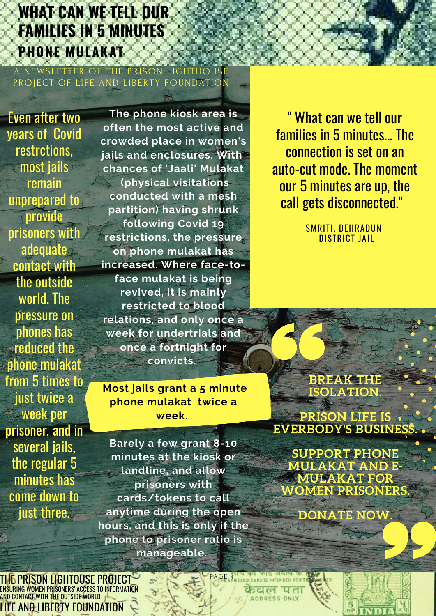## **WHAT CAN WE TELL OUR FAMILIES IN 5 MINUTES PHONE MULAKAT**

A NEWSLETTER OF THE PRISON PROJECT OF LIFE AND LIBERTY FOUNDATION

Even after two years of Covid restrctions, most jails remain unprepared to provide prisoners with adequate contact with the outside world. The pressure on phones has reduced the phone mulakat from 5 times to just twice a week per prisoner, and in several jails, the regular 5 minutes has come down to just three.

**The phone kiosk area is often the most active and crowded place in women's jails and enclosures. With chances of 'Jaali' Mulakat (physical visitations conducted with a mesh partition) having shrunk following Covid 19 restrictions, the pressure on phone mulakat has increased. Where face-toface mulakat is being revived, it is mainly restricted to blood relations, and only once a week for undertrials and once a fortnight for convicts.**

**Most jails grant a 5 minute phone mulakat twice a week.**

**Barely a few grant 8-10 minutes at the kiosk or landline, and allow prisoners with cards/tokens to call anytime during the open hours, and this is only if the phone to prisoner ratio is manageable.**

 $\lambda$ 

" What can we tell our families in 5 minutes... The connection is set on an auto-cut mode. The moment our 5 minutes are up, the call gets disconnected."

> SMRITI, DEHRADUN DISTRICT JAIL

**BREAK THE ISOLATION.**

**PRISON LIFE IS EVERBODY'S BUSINE** 

**SUPPORT PHONE MULAKAT AND E-MULAKAT FOR WOMEN PRISONERS.**

**DONATE NOW.**

THE PRISON LIGHTOUSE PROJECT ENSURING WOMEN PRISONERS' ACCESS TO INFORMATION AND CONTACT WITH THE OUTSIDE WORLD LIFE AND LIBERTY FOUNDATION

PAGE 4 NECEDICALE IN INTENDED FOR T केवल पता **ADDRESS ONLY** 

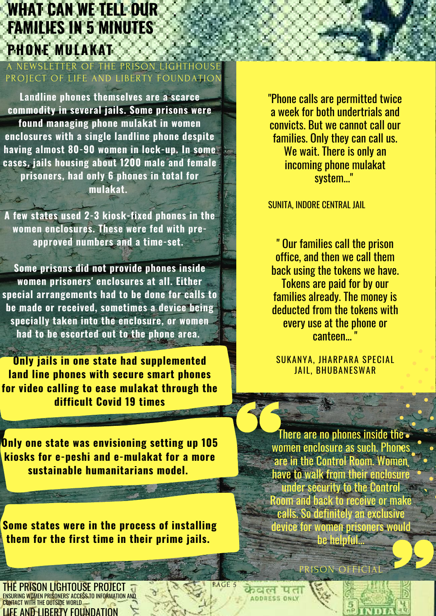## **WHAT CAN WE TELL OUR FAMILIES IN 5 MINUTES PHONE MULAKAT**

A NEWSLETTER OF THE PRISON PROJECT OF LIFE AND LIBERTY FOUNDATION

**Landline phones themselves are a scarce commodity in several jails. Some prisons were found managing phone mulakat in women enclosures with a single landline phone despite having almost 80-90 women in lock-up. In some cases, jails housing about 1200 male and female prisoners, had only 6 phones in total for mulakat.**

**A few states used 2-3 kiosk-fixed phones in the women enclosures. These were fed with preapproved numbers and a time-set.**

**Some prisons did not provide phones inside women prisoners' enclosures at all. Either special arrangements had to be done for calls to be made or received, sometimes a device being specially taken into the enclosure, or women had to be escorted out to the phone area.**

**Only jails in one state had supplemented land line phones with secure smart phones for video calling to ease mulakat through the difficult Covid 19 times**

**.**

**Only one state was envisioning setting up 105 kiosks for e-peshi and e-mulakat for a more sustainable humanitarians model.**

**Some states were in the process of installing them for the first time in their prime jails.**

**PRISON LIGHTOUSE PROJECT** ENSURING WOMEN PRISONERS' ACCESS TO INFORMATION AND CONTACT WITH THE OUTSIDE WORLD LIFE AND LIBERTY FOUNDATION

"Phone calls are permitted twice a week for both undertrials and convicts. But we cannot call our families. Only they can call us. We wait. There is only an incoming phone mulakat system..."

SUNITA, INDORE CENTRAL JAIL

" Our families call the prison office, and then we call them back using the tokens we have. Tokens are paid for by our families already. The money is deducted from the tokens with every use at the phone or canteen...

SUKANYA, JHARPARA SPECIAL JAIL, BHUBANESWAR

There are no phones inside the. women enclosure as such. Phones are in the Control Room. Women have to walk from their enclosure under security to the Control Room and back to receive or make calls. So definitely an exclusive device for women prisoners would be helpful.

PRISON OFFICIA

PAGE 5

dul **ADDRESS ONL**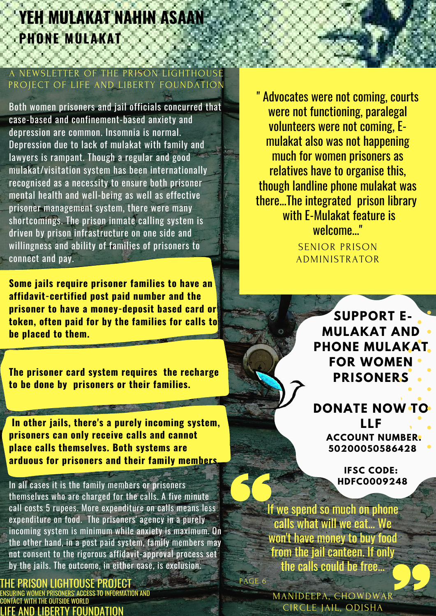# **YEH MULAKAT NAHIN ASAAN PHONE MULAKAT**

#### WSI FTTER OF TH PROJECT OF LIFE AND LIBERTY FOUNDATION

Both women prisoners and jail officials concurred that case-based and confinement-based anxiety and depression are common. Insomnia is normal. Depression due to lack of mulakat with family and lawyers is rampant. Though a regular and good mulakat/visitation system has been internationally recognised as a necessity to ensure both prisoner mental health and well-being as well as effective prisoner management system, there were many shortcomings. The prison inmate calling system is driven by prison infrastructure on one side and willingness and ability of families of prisoners to connect and pay.

**Some jails require prisoner families to have an affidavit-certified post paid number and the prisoner to have a money-deposit based card or token, often paid for by the families for calls to be placed to them.**

**The prisoner card system requires the recharge to be done by prisoners or their families.**

**In other jails, there's a purely incoming system, prisoners can only receive calls and cannot place calls themselves. Both systems are arduous for prisoners and their family members.**

In all cases it is the family members or prisoners themselves who are charged for the calls. A five minute call costs 5 rupees. More expenditure on calls means less expenditure on food. The prisoners' agency in a purely incoming system is minimum while anxiety is maximum. On the other hand, in a post paid system, family members may not consent to the rigorous affidavit-approval process set by the jails. The outcome, in either case, is exclusion.

PRISON LIGHTOUSE PROJECT PRISONERS' ACCESS TO INFORMATION AND WITH THE OUTSIDE WORLD ATION

" Advocates were not coming, courts were not functioning, paralegal volunteers were not coming, Emulakat also was not happening much for women prisoners as relatives have to organise this, though landline phone mulakat was there...The integrated prison library with E-Mulakat feature is welcome..."

> SENIOR PRISON ADMINISTRATOR

> > **SUPPORT E-MULAKAT AND PHONE MULAKAT FOR WOMEN PRISONERS**

**DONATE NOW TO LLF ACCOUNT NUMBER: 50200050586428**

> **IFSC CODE: HDFC0009248**

PAGE 6 If we spend so much on phone calls what will we eat... We won't have money to buy food from the jail canteen. If only the calls could be free...

> MANIDEEPA, CHOWDWAR CIRCLE JAIL, ODISHA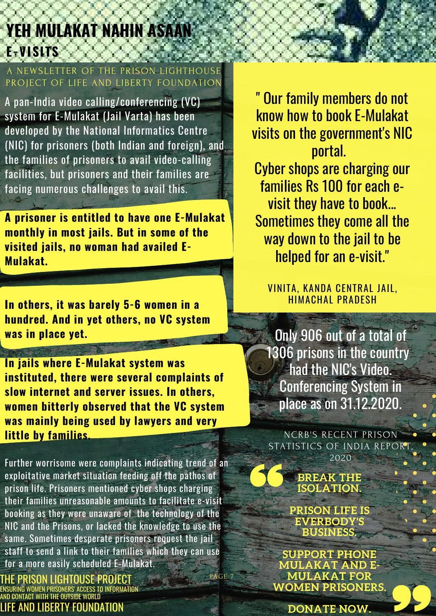# **YEH MULAKAT NAHIN ASAAN E-VISITS**

A NEWSLETTER OF THE PRISO PROJECT OF LIFE AND LIBERTY FOUNDATION

A pan-India video calling/conferencing (VC) system for E-Mulakat (Jail Varta) has been developed by the National Informatics Centre (NIC) for prisoners (both Indian and foreign), and the families of prisoners to avail video-calling facilities, but prisoners and their families are facing numerous challenges to avail this.

**A prisoner is entitled to have one E-Mulakat monthly in most jails. But in some of the visited jails, no woman had availed E-Mulakat.**

**In others, it was barely 5-6 women in a hundred. And in yet others, no VC system was in place yet.**

**In jails where E-Mulakat system was instituted, there were several complaints of slow internet and server issues. In others, women bitterly observed that the VC system was mainly being used by lawyers and very little by families.**

Further worrisome were complaints indicating trend of an exploitative market situation feeding off the pathos of prison life. Prisoners mentioned cyber shops charging their families unreasonable amounts to facilitate e-visit booking as they were unaware of the technology of the NIC and the Prisons, or lacked the knowledge to use the same. Sometimes desperate prisoners request the jail staff to send a link to their families which they can use for a more easily scheduled E-Mulakat. PAGE

HE PRISON LIGHTOUSE PROJECT WOMEN PRISONERS' ACCESS TO INFORMAT AND CONTACT WITH THE OUTSIDE WORLD LIFE AND LIBERTY FOUNDATION

" Our family members do not know how to book E-Mulakat visits on the government's NIC portal. Cyber shops are charging our

families Rs 100 for each evisit they have to book... Sometimes they come all the way down to the jail to be helped for an e-visit."

VINITA, KANDA CENTRAL JAIL, HIMACHAL PRADESH

Only 906 out of a total of 1306 prisons in the country *Chad the NIC's Video.* Conferencing System in place as on 31.12.2020.

NCRB'S RECENT PRISON STATISTICS OF INDIA REPORT 2020

> **BREAK THE ISOLATION.**

**PRISON LIFE IS EVERBODY'S BUSINESS.**

**SUPPORT PHONE MULAKAT AND E-MULAKAT FOR WOMEN PRISONERS.**

**DONATE NOW.**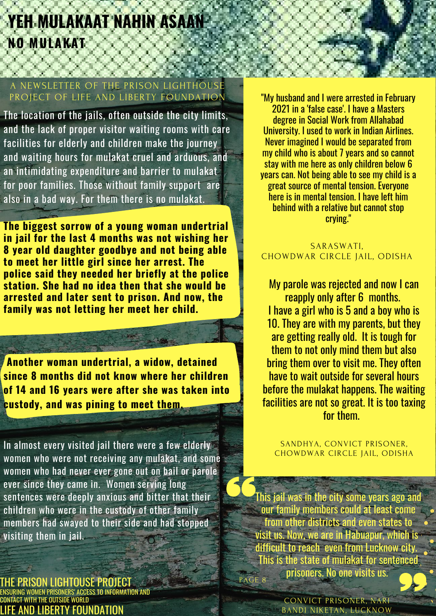# **YEH MULAKAAT NAHIN ASAAN NO MULAKAT**

#### A NEWSLETTER OF THE PRISON PROJECT OF LIFE AND LIBERTY FOUNDATION

The location of the jails, often outside the city limits, and the lack of proper visitor waiting rooms with care facilities for elderly and children make the journey and waiting hours for mulakat cruel and arduous, and an intimidating expenditure and barrier to mulakat for poor families. Those without family support are also in a bad way. For them there is no mulakat.

**The biggest sorrow of a young woman undertrial in jail for the last 4 months was not wishing her 8 year old daughter goodbye and not being able to meet her little girl since her arrest. The police said they needed her briefly at the police station. She had no idea then that she would be arrested and later sent to prison. And now, the family was not letting her meet her child.**

**Another woman undertrial, a widow, detained since 8 months did not know where her children of 14 and 16 years were after she was taken into custody, and was pining to meet them.**

In almost every visited jail there were a few elderly women who were not receiving any mulakat, and some women who had never ever gone out on bail or parole ever since they came in. Women serving long sentences were deeply anxious and bitter that their children who were in the custody of other family members had swayed to their side and had stopped visiting them in jail.

IE PRISON LIGHTOUSE PROJECT .<br>RING WOMEN PRISONERS' ACCESS TO INFORMATION AND CONTACT WITH THE OUTSIDE WORLD **LIBERTY FOUNDATION** 

"My husband and I were arrested in February 2021 in a 'false case'. I have a Masters degree in Social Work from Allahabad University. I used to work in Indian Airlines. Never imagined I would be separated from my child who is about 7 years and so cannot stay with me here as only children below 6 years can. Not being able to see my child is a great source of mental tension. Everyone here is in mental tension. I have left him behind with a relative but cannot stop crying."

#### SARASWATI, CHOWDWAR CIRCLE JAIL, ODISHA

My parole was rejected and now I can reapply only after 6 months. I have a girl who is 5 and a boy who is 10. They are with my parents, but they are getting really old. It is tough for them to not only mind them but also bring them over to visit me. They often have to wait outside for several hours before the mulakat happens. The waiting facilities are not so great. It is too taxing for them.

SANDHYA, CONVICT PRISONER, CHOWDWAR CIRCLE JAIL, ODISHA

PAGE 8 This jail was in the city some years ago and our family members could at least come from other districts and even states to visit us. Now, we are in Habuapur, which is difficult to reach even from Lucknow city. This is the state of mulakat for sentenced prisoners. No one visits us.

> CONVICT PRISONER, NARI BANDI NIKETAN, LUCKNOW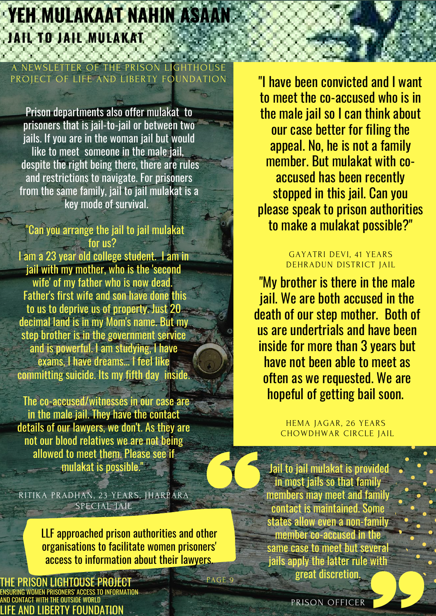# **YEH MULAKAAT NAHIN ASAAN JAIL TO JAIL MULAKAT**

#### EWSLETTER OF THE PRISON PROJECT OF LIFE AND LIBERTY FOUND

Prison departments also offer mulakat to prisoners that is jail-to-jail or between two jails. If you are in the woman jail but would like to meet someone in the male jail, despite the right being there, there are rules and restrictions to navigate. For prisoners from the same family, jail to jail mulakat is a key mode of survival.

#### "Can you arrange the jail to jail mulakat for us?

I am a 23 year old college student. I am in jail with my mother, who is the 'second wife' of my father who is now dead. Father's first wife and son have done this to us to deprive us of property. Just 20 decimal land is in my Mom's name. But my step brother is in the government service and is powerful. I am studying, I have exams, I have dreams... I feel like committing suicide. Its my fifth day inside.

The co-accused/witnesses in our case are in the male jail. They have the contact details of our lawyers, we don't. As they are not our blood relatives we are not being allowed to meet them. Please see if mulakat is possible."

RITIKA PRADHAN, 23 YEARS, JHARPARA SPECIAL JAIL

> LLF approached prison authorities and other organisations to facilitate women prisoners' access to information about their lawyers.

> > PAGE 9

PRISON LIGHTOUSE PROJEC ENSURING WOMEN PRISONERS' ACCESS TO INFORMATION AND CONTACT WITH THE OUTSIDE WORLD ND LIBERTY FOUNDATION

"I have been convicted and I want to meet the co-accused who is in the male jail so I can think about our case better for filing the appeal. No, he is not a family member. But mulakat with coaccused has been recently stopped in this jail. Can you please speak to prison authorities to make a mulakat possible?"

#### GAYATRI DEVI, 41 YEARS DEHRADUN DISTRICT JAIL

"My brother is there in the male jail. We are both accused in the death of our step mother. Both of us are undertrials and have been inside for more than 3 years but have not been able to meet as often as we requested. We are hopeful of getting bail soon.

> HEMA JAGAR, 26 YEARS CHOWDHWAR CIRCLE JAIL

Jail to jail mulakat is provided in most jails so that family members may meet and family contact is maintained. Some states allow even a non-family member co-accused in the same case to meet but several jails apply the latter rule with great discretion.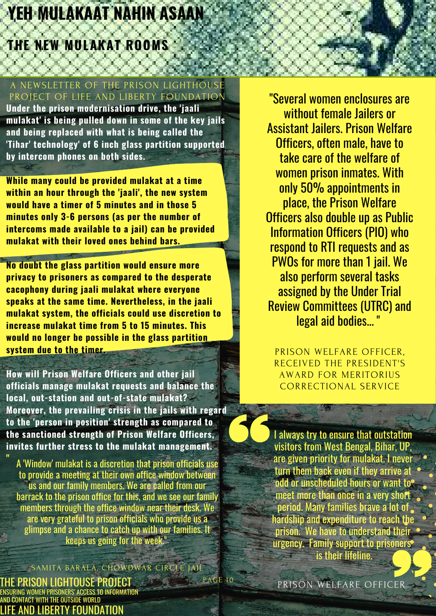# **YEH MULAKAAT NAHIN ASAAN**

## **THE NEW MULAKAT ROOMS**

#### A NEWSLETTER OF THE PRISON LIGHTHOUSE PROJECT OF LIFE AND LIBERTY FOUNDATION

**Under the prison modernisation drive, the 'jaali mulakat' is being pulled down in some of the key jails and being replaced with what is being called the 'Tihar' technology' of 6 inch glass partition supported by intercom phones on both sides.**

**While many could be provided mulakat at a time within an hour through the 'jaali', the new system would have a timer of 5 minutes and in those 5 minutes only 3-6 persons (as per the number of intercoms made available to a jail) can be provided mulakat with their loved ones behind bars.**

**No doubt the glass partition would ensure more privacy to prisoners as compared to the desperate cacophony during jaali mulakat where everyone speaks at the same time. Nevertheless, in the jaali mulakat system, the officials could use discretion to increase mulakat time from 5 to 15 minutes. This would no longer be possible in the glass partition system due to the timer.**

**How will Prison Welfare Officers and other jail officials manage mulakat requests and balance the local, out-station and out-of-state mulakat? Moreover, the prevailing crisis in the jails with regard to the 'person in position' strength as compared to the sanctioned strength of Prison Welfare Officers, invites further stress to the mulakat management.**

A 'Window' mulakat is a discretion that prison officials use to provide a meeting at their own office window between us and our family members. We are called from our barrack to the prison office for this, and we see our family members through the office window near their desk. We are very grateful to prison officials who provide us a glimpse and a chance to catch up with our families. It keeps us going for the week."

PAGE 10 MITA BARALA, CHOWDWAR CIRCLE JAIL

THE PRISON LIGHTOUSE PROJECT NG WOMEN PRISONERS' ACCESS TO INFORMATION AND CONTACT WITH THE OUTSIDE WORLD LIFE AND LIBERTY FOUNDATION

**"**

"Several women enclosures are without female Jailers or Assistant Jailers. Prison Welfare Officers, often male, have to take care of the welfare of women prison inmates. With only 50% appointments in place, the Prison Welfare Officers also double up as Public Information Officers (PIO) who respond to RTI requests and as PWOs for more than 1 jail. We also perform several tasks assigned by the Under Trial Review Committees (UTRC) and legal aid bodies... "

PRISON WELFARE OFFICER, RECEIVED THE PRESIDENT'S AWARD FOR MERITORIUS CORRECTIONAL SERVICE

I always try to ensure that outstation visitors from West Bengal, Bihar, UP, are given priority for mulakat. I never turn them back even if they arrive at odd or unscheduled hours or want to meet more than once in a very short period. Many families brave a lot of hardship and expenditure to reach the prison. We have to understand their urgency. Family support to prisoners is their lifeline.

PRISON WELFARE OFFICER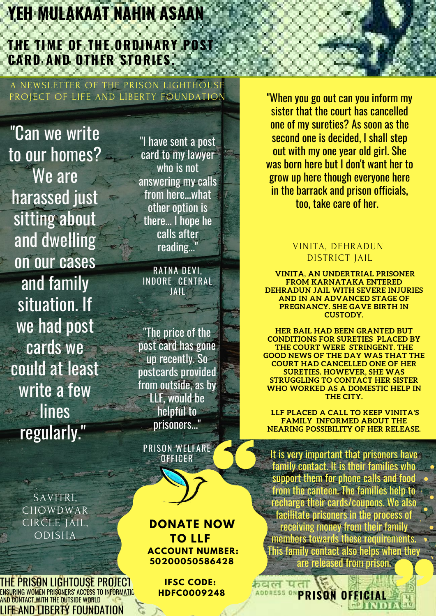# **YEH MULAKAAT NAHIN ASAAN**

## **THE TIME OF THE ORDINARY POST CARD AND OTHER STORIES.**

A NEWSLETTER OF THE PRISON LIGHTHOUSE PROJECT OF LIFE AND LIBERTY FOUNDATION

"Can we write to our homes? We are harassed just sitting about and dwelling on our cases and family situation. If we had post cards we could at least write a few lines regularly."

> SAVITRI, CHOWDWAR CIRCLE JAIL, ODISHA

IE PRISON LIGHTOUSE PROJECT ENSURING WOMEN PRISONERS' ACCESS TO INFORMATIO AND CONTACT WITH THE OUTSIDE WORLD LIFE AND LIBERTY FOUNDATION

"I have sent a post card to my lawyer who is not answering my calls from here...what other option is there... I hope he calls after reading..."

RATNA DEVI, INDORE CENTRAL JAIL

"The price of the post card has gone up recently. So postcards provided from outside, as by LLF, would be helpful to prisoners..."

PRISON WELFARE OFFICER

**DONATE NOW TO LLF ACCOUNT NUMBER: 50200050586428**

> **IFSC CODE: HDFC0009248**

"When you go out can you inform my sister that the court has cancelled one of my sureties? As soon as the second one is decided, I shall step out with my one year old girl. She was born here but I don't want her to grow up here though everyone here in the barrack and prison officials, too, take care of her.

#### VINITA, DEHRADUN DISTRICT JAIL

**VINITA, AN UNDERTRIAL PRISONER FROM KARNATAKA ENTERED DEHRADUN JAIL WITH SEVERE INJURIES AND IN AN ADVANCED STAGE OF PREGNANCY. SHE GAVE BIRTH IN CUSTODY.**

**HER BAIL HAD BEEN GRANTED BUT CONDITIONS FOR SURETIES PLACED BY THE COURT WERE STRINGENT. THE GOOD NEWS OF THE DAY WAS THAT THE COURT HAD CANCELLED ONE OF HER SURETIES. HOWEVER, SHE WAS STRUGGLING TO CONTACT HER SISTER WHO WORKED AS A DOMESTIC HELP IN THE CITY.**

**LLF PLACED A CALL TO KEEP VINITA'S FAMILY INFORMED ABOUT THE NEARING POSSIBILITY OF HER RELEASE.**

It is very important that prisoners have family contact. It is their families who support them for phone calls and food from the canteen. The families help to recharge their cards/coupons. We also facilitate prisoners in the process of receiving money from their family members towards these requirements. This family contact also helps when they are released from prison.

**ADDRESS ONPRISON OFFICIAL** 

 $R<sub>1</sub>$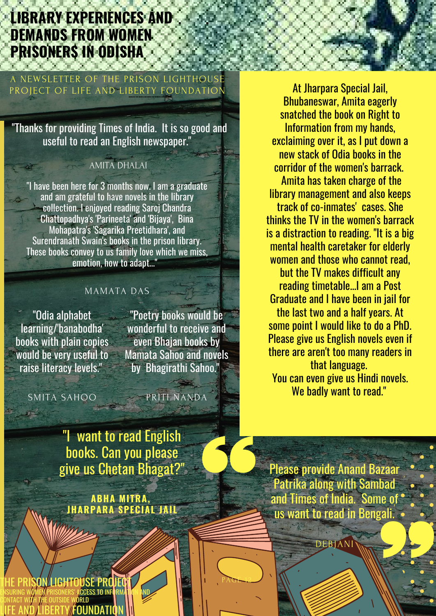## **LIBRARY EXPERIENCES AND DEMANDS FROM WOMEN PRISONERS IN ODISHA**

#### A NEWSLETTER OF THE PRISON LIGHT PROJECT OF LIFE AND LIBERTY FOUNDATION

"Thanks for providing Times of India. It is so good and useful to read an English newspaper."

#### AMITA DHALAI

"I have been here for 3 months now. I am a graduate and am grateful to have novels in the library collection. I enjoyed reading Saroj Chandra Chattopadhya's 'Parineeta' and 'Bijaya', Bina Mohapatra's 'Sagarika Preetidhara', and Surendranath Swain's books in the prison library. These books convey to us family love which we miss, emotion, how to adapt..."

#### MAMATA DAS

"Odia alphabet learning/'banabodha' books with plain copies would be very useful to raise literacy levels."

"Poetry books would be wonderful to receive and even Bhajan books by Mamata Sahoo and novels by Bhagirathi Sahoo."

DONATE THE BOOKS WE NEED FOR WOMEN BEHIND BARS

PAGE 12

SMITA SAHOO

THE PRISON/LIGHTOUSE PROJECT ENSURING WOMEN PRISONERS' ACCESS TO INFORMATION AND

LIFE AND LIBERTY/FOUNDATION

CONTACT WITH THE OUTSIDE WORLD

PRITI NANDA

"I want to read English books. Can you please give us Chetan Bhagat?"

**ABHA MITRA, JHARPARA SPECIAL JAIL**

At Jharpara Special Jail, Bhubaneswar, Amita eagerly snatched the book on Right to Information from my hands, exclaiming over it, as I put down a new stack of Odia books in the corridor of the women's barrack. Amita has taken charge of the library management and also keeps track of co-inmates' cases. She thinks the TV in the women's barrack is a distraction to reading. "It is a big mental health caretaker for elderly women and those who cannot read, but the TV makes difficult any reading timetable...I am a Post Graduate and I have been in jail for the last two and a half years. At some point I would like to do a PhD. Please give us English novels even if there are aren't too many readers in that language. You can even give us Hindi novels. We badly want to read."

Please provide Anand Bazaar Patrika along with Sambad and Times of India. Some of us want to read in Bengali.

DEBJANI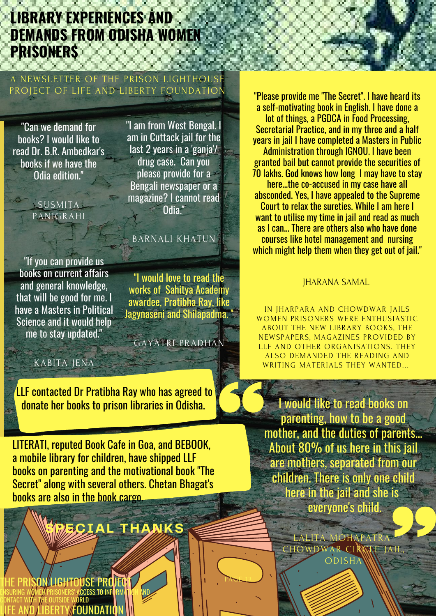## **LIBRARY EXPERIENCES AND DEMANDS FROM ODISHA WOMEN PRISONERS**

#### A NEWSLETTER OF THE PRISON LIGHTHOUSE PROJECT OF LIFE AND LIBERTY FOUNDATION

"Can we demand for books? I would like to read Dr. B.R. Ambedkar's books if we have the Odia edition."

> **SUSMITA** PANIGRAHI

"I am from West Bengal. I am in Cuttack jail for the last 2 years in a 'ganja'/ drug case. Can you please provide for a Bengali newspaper or a magazine? I cannot read Odia."

#### BARNALI KHATUN

"If you can provide us books on current affairs and general knowledge, that will be good for me. I have a Masters in Political Science and it would help me to stay updated."

"I would love to read the works of Sahitya Academy awardee, Pratibha Ray, like Jagynaseni and Shilapadma. "

GAYATRI PRADHAN

PAGE 13

#### KABITA JENA

LLF contacted Dr Pratibha Ray who has agreed to donate her books to prison libraries in Odisha.

LITERATI, reputed Book Cafe in Goa, and BEBOOK, a mobile library for children, have shipped LLF books on parenting and the motivational book "The Secret" along with several others. Chetan Bhagat's books are also in the book cargo.

# **SPECIAL THANKS**

YON LIGHTOUSE PROJECT ENSURING WOMEN PRISONERS' ACCESS TO INFORMATION AND CONTACT WITH THE OUTSIDE WORLD LIFE AND LIBERTY/FOUNDATION

"Please provide me "The Secret". I have heard its a self-motivating book in English. I have done a lot of things, a PGDCA in Food Processing, Secretarial Practice, and in my three and a half years in jail I have completed a Masters in Public Administration through IGNOU. I have been granted bail but cannot provide the securities of 70 lakhs. God knows how long I may have to stay here...the co-accused in my case have all absconded. Yes, I have appealed to the Supreme Court to relax the sureties. While I am here I want to utilise my time in jail and read as much as I can... There are others also who have done courses like hotel management and nursing which might help them when they get out of jail."

#### JHARANA SAMAL

IN JHARPARA AND CHOWDWAR JAILS WOMEN PRISONERS WERE ENTHUSIASTIC ABOUT THE NEW LIBRARY BOOKS, THE NEWSPAPERS, MAGAZINES PROVIDED BY LLF AND OTHER ORGANISATIONS. THEY ALSO DEMANDED THE READING AND WRITING MATERIALS THEY WANTED...

I would like to read books on parenting, how to be a good mother, and the duties of parents... About 80% of us here in this jail are mothers, separated from our children. There is only one child here in the jail and she is everyone's child.

> LALITA MOHAPATRA CHOWDWAR CIRCLE JAI ODISHA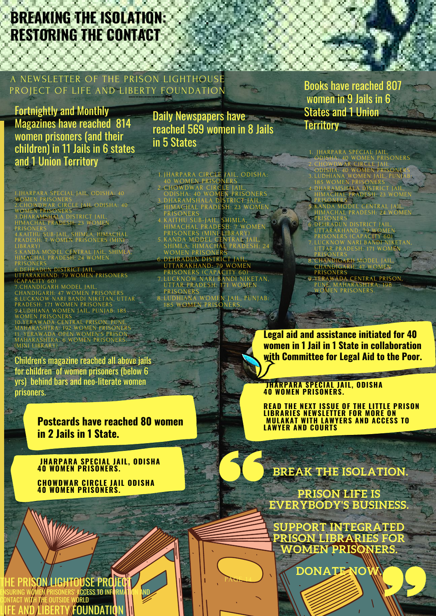# **BREAKING THE ISOLATION: RESTORING THE CONTACT**

#### A NEWSLETTER OF THE PRISON LIGHTHOUSE PROJECT OF LIFE AND LIBERTY FOUNDATION

Fortnightly and Monthly Magazines have reached 814 women prisoners (and their children) in 11 Jails in 6 states and 1 Union Territory

1.JHARPARA SPECIAL JAIL, ODISHA: 40 WOMEN PRISONERS 2.CHOWDWAR CIRCLE JAIL ODISHA: 40 WOMEN PRISONERS

3.DHARAMSHALA DISTRICT JAIL, HIMACHAL PRADESH: 23 WOMEN PRISONERS

4.KAITHU SUB-JAIL, SHIMLA, HIMACHAL PRADESH: 7 WOMEN PRISONERS (MINI LIBRARY) 5.KANDA MODEL CENTRAL JAIL, SHIMLA,

HIMACHAL PRADESH: 24 WOMEN PRISONERS

6.DEHRADUN DISTRICT JAIL, UTTARAKHAND: 79 WOMEN PRISONERS (CAPACITY 60)

7.CHANDIGARH MODEL JAIL, CHANDIGARH: 47 WOMEN PRISONERS 8.LUCKNOW NARI BANDI NIKETAN, UTTAR PRADESH: 171 WOMEN PRISONERS 9.LUDHIANA WOMEN JAIL, PUNJAB: 185 WOMEN PRISONERS

10.YERAWADA CENTRAL PRISON, PUNE, MAHARASHTRA: 192 WOMEN PRISONERS 11. YERAWADA OPEN WOMEN'S PRISON, MAHARASHTRA: 6 WOMEN PRISONERS. (MINI LIBRARY)

Children's magazine reached all above jails for children of women prisoners (below 6 yrs) behind bars and neo-literate women prisoners.

#### **Postcards have reached 80 women in 2 Jails in 1 State.**

**JHARPARA SPECIAL JAIL, ODISHA 40 WOMEN PRISONERS.**

**CHOWDWAR CIRCLE JAIL ODISHA 40 WOMEN PRISONERS.**

Daily Newspapers have reached 569 women in 8 Jails in 5 States

DONATE THE BOOKS WE NEED FOR WE NEED FOR WE NEED FOR WEIGHT JHARPARA CIRCLE JAIL, ODISHA: 40 WOMEN PRISONERS CHOWDWAR CIRCLE JAIL, ODISHA: 40 WOMEN PRISONERS DHARAMSHALA DISTRICT JAIL, HIMACHAL PRADESH: 23 WOMEN PRISONERS KAITHU SUB-JAIL, SHIMLA, HIMACHAL PRADESH: 7 WOMEN PRISONERS (MINI LIBRARY) KANDA MODEL CENTRAL JAIL, SHIMLA, HIMACHAL PRADESH: 24 WOMEN PRISONERS DEHRADUN DISTRICT JAIL, UTTARAKHAND: 79 WOMEN PRISONERS (CAPACITY 60) LUCKNOW NARI BANDI NIKETAN, 1. 2. 3. 6. 7.

UTTAR PRADESH: 171 WOMEN PRISONERS LUDHIANA WOMEN JAIL, PUNJAB: 185 WOMEN PRISONERS. 8.

PAGE 14

Books have reached 807 women in 9 Jails in 6 States and 1 Union **Territory** 

JHARPARA SPECIAL JAIL, ODISHA: 40 WOMEN PRISONERS CHOWDWAR CIRCLE JAIL ODISHA: 40 WOMEN PRISONERS LUDHIANA WOMEN JAIL, PUNJAB: 185 WOMEN PRISONERS

DHARAMSHALA DISTRICT JAIL, HIMACHAL PRADESH: 23 WOMEN PRISONERS 4.

KANDA MODEL CENTRAL JAIL, HIMACHAL PRADESH: 24 WOMEN PRISONERS 5.

DISTRICT JAIL 6.

UTTARAKHAND: 79 WOMEN

PRISONERS (CAPACITY 60) LUCKNOW NARI BANDI NIKETAN, UTTAR PRADESH: 171 WOMEN

PRISONERS CHANDIGARH MODEL JAIL, 8.

CHANDIGARH: 47 WOMEN PRISONERS YERAWADA CENTRAL PRISON, 9.

PUNE, MAHARASHTRA: 198 WOMEN PRISONERS.

**Legal aid and assistance initiated for 40 women in 1 Jail in 1 State in collaboration with Committee for Legal Aid to the Poor.**

**JHARPARA SPECIAL JAIL, ODISHA 40 WOMEN PRISONERS.**

**READ THE NEXT ISSUE OF THE LITTLE PRISON LIBRARIES NEWSLETTER FOR MORE ON MULAKAT WITH LAWYERS AND ACCESS TO LAWYER AND COURTS**

**BREAK THE ISOLATION.**

**PRISON LIFE IS EVERYBODY'S BUSINESS.**

**SUPPORT INTEGRATED PRISON LIBRARIES FOR WOMEN PRISONERS.**

 $\overline{DONATENO}$ 

SON LIGHTOUSE PROJECT **ACCESS TO INFO** ORLD FOUNDATI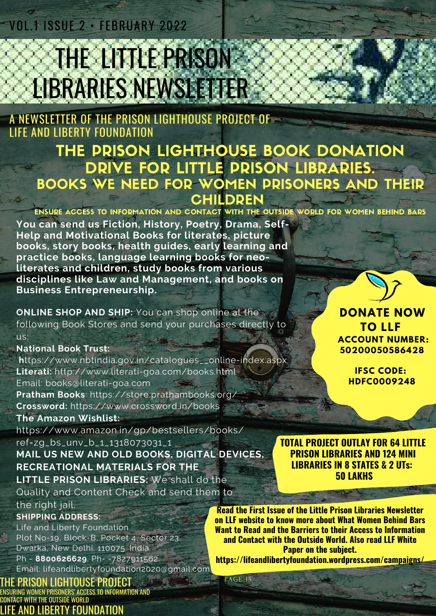## VOL.1 ISSUE 2 • FEBRUARY 2022

# **THE LITTLE PRISON** LIBRARIES NEWSLETTER

### A NEWSLETTER OF THE PRISON LIGHTHOUSE PROJECT OF LIFE AND LIBERTY FOUNDATION

## THE PRISON LIGHTHOUSE BOOK DONATION DRIVE FOR LITTLE PRISON LIBRARIES. BOOKS WE NEED FOR WOMEN PRISONERS AND THEIR **CHILDREN**

ENSURE ACCESS TO INFORMATION AND CONTACT WITH THE OUTSIDE WORLD FOR WOMEN BEHIND BARS

PAGE 15

**You can send us Fiction, History, Poetry, Drama, Self-Help and Motivational Books for literates, picture books, story books, health guides, early learning and practice books, language learning books for neoliterates and children, study books from various disciplines like Law and Management, and books on Business Entrepreneurship.**

**ONLINE SHOP AND SHIP:** You can shop online at the following Book Stores and send your purchases directly to us:

#### **National Book Trust:**

**h**ttps://www.nbtindia.gov.in/catalogues\_\_online-index.aspx **Literati:** http://www.literati-goa.com/books.html Email: books@literati-goa.com **Pratham Books**: https://store.prathambooks.org/

**Crossword:** https://www.crossword.in/books

#### **The Amazon Wishlist:**

https://www.amazon.in/gp/bestsellers/books/ ref=zg\_bs\_unv\_b\_1\_1318073031\_1

**MAIL US NEW AND OLD BOOKS, DIGITAL DEVICES, RECREATIONAL MATERIALS FOR THE LITTLE PRISON LIBRARIES:** We shall do the Quality and Content Check and send them to

the right jail.

#### **SHIPPING ADDRESS:**

Life and Liberty Foundation Plot No-19, Block-B, Pocket 4, Sector 23, Dwarka, New Delhi. 110075. India. Ph - **8800626629**. Ph- -7827911562. Email: lifeandlibertyfoundation2020@gmail.com

#### THE PRISON LIGHTOUSE PROJECT

ENSURING WOMEN PRISONERS' ACCESS TO INFORMATION AND CONTACT WITH THE OUTSIDE WORLD AND LIBERTY FOUNDATION

**Read the First Issue of the Little Prison Libraries Newsletter on LLF website to know more about What Women Behind Bars Want to Read and the Barriers to their Access to Information and Contact with the Outside World. Also read LLF White Paper on the subject. https://lifeandlibertyfoundation.wordpress.com/campaigns/**

**TO LLF ACCOUNT NUMBER: 50200050586428**

**DONATE NOW**

**IFSC CODE: HDFC0009248**

**TOTAL PROJECT OUTLAY FOR 64 LITTLE PRISON LIBRARIES AND 124 MINI LIBRARIES IN 8 STATES & 2 UTs: 50 LAKHS**